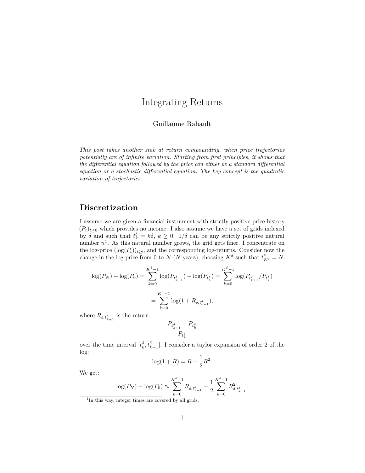# Integrating Returns

Guillaume Rabault

*This post takes another stab at return compounding, when price trajectories potentially are of infinite variation. Starting from first principles, it shows that the differential equation followed by the price can either be a standard differential equation or a stochastic differential equation. The key concept is the quadratic variation of trajectories.*

## **Discretization**

I assume we are given a financial instrument with strictly positive price history  $(P_t)_{t\geq 0}$  which provides no income. I also assume we have a set of grids indexed by  $\delta$  and such that  $t_k^{\delta} = k\delta$ ,  $k \geq 0$ .  $1/\delta$  can be any strictly positive natural number  $n<sup>1</sup>$  $n<sup>1</sup>$  $n<sup>1</sup>$ . As this natural number grows, the grid gets finer. I concentrate on the log-price  $(\log(P_t))_{t\geq 0}$  and the corresponding log-returns. Consider now the change in the log-price from 0 to *N* (*N* years), choosing  $K^{\delta}$  such that  $t^{\delta}_{K^{\delta}} = N$ :

$$
\log(P_N) - \log(P_0) = \sum_{k=0}^{K^{\delta}-1} \log(P_{t_{k+1}^{\delta}}) - \log(P_{t_k^{\delta}}) = \sum_{k=0}^{K^{\delta}-1} \log(P_{t_{k+1}^{\delta}}/P_{t_k^{\delta}})
$$

$$
= \sum_{k=0}^{K^{\delta}-1} \log(1 + R_{\delta, t_{k+1}^{\delta}}),
$$

where  $R_{\delta,t_{k+1}^{\delta}}$  is the return:

$$
\frac{P_{t_{k+1}^\delta}-P_{t_k^\delta}}{P_{t_k^\delta}}
$$

over the time interval  $[t_k^{\delta}, t_{k+1}^{\delta}]$ . I consider a taylor expansion of order 2 of the log:

$$
\log(1 + R) = R - \frac{1}{2}R^2.
$$

We get:

$$
\log(P_N) - \log(P_0) \approx \sum_{k=0}^{K^{\delta}-1} R_{\delta, t_{k+1}^{\delta}} - \frac{1}{2} \sum_{k=0}^{K^{\delta}-1} R_{\delta, t_{k+1}^{\delta}}^2.
$$

<span id="page-0-0"></span><sup>&</sup>lt;sup>1</sup>In this way, integer times are covered by all grids.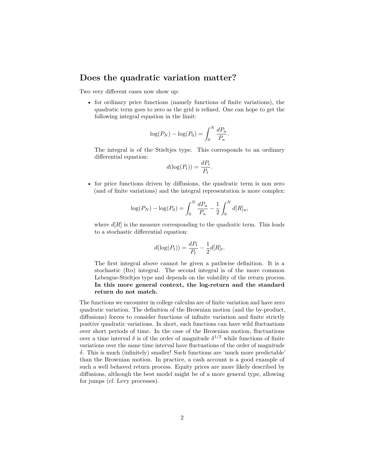### **Does the quadratic variation matter?**

Two very different cases now show up:

• for ordinary price functions (namely functions of finite variations), the quadratic term goes to zero as the grid is refined. One can hope to get the following integral equation in the limit:

$$
\log(P_N) - \log(P_0) = \int_0^N \frac{dP_u}{P_u}.
$$

The integral is of the Stieltjes type. This corresponds to an ordinary differential equation:

$$
d(\log(P_t)) = \frac{dP_t}{P_t}.
$$

• for price functions driven by diffusions, the quadratic term is non zero (and of finite variations) and the integral representation is more complex:

$$
\log(P_N) - \log(P_0) = \int_0^N \frac{dP_u}{P_u} - \frac{1}{2} \int_0^N d[R]_u,
$$

where  $d[R]$  is the measure corresponding to the quadratic term. This leads to a stochastic differential equation:

$$
d(\log(P_t)) = \frac{dP_t}{P_t} - \frac{1}{2}d[R]_t.
$$

The first integral above cannot be given a pathwise definition. It is a stochastic (Ito) integral. The second integral is of the more common Lebesgue-Stieltjes type and depends on the volatility of the return process. **In this more general context, the log-return and the standard return do not match.**

The functions we encounter in college calculus are of finite variation and have zero quadratic variation. The definition of the Brownian motion (and the by-product, diffusions) forces to consider functions of infinite variation and finite strictly positive quadratic variations. In short, such functions can have wild fluctuations over short periods of time. In the case of the Brownian motion, fluctuations over a time interval  $\delta$  is of the order of magnitude  $\delta^{1/2}$  while functions of finite variations over the same time interval have fluctuations of the order of magnitude *δ*. This is much (infinitely) smaller! Such functions are 'much more predictable' than the Brownian motion. In practice, a cash account is a good example of such a well behaved return process. Equity prices are more likely described by diffusions, although the best model might be of a more general type, allowing for jumps (cf. Levy processes).